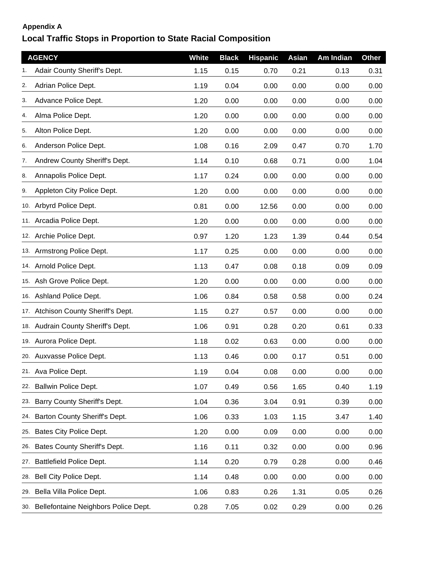## **Appendix A**

## **Local Traffic Stops in Proportion to State Racial Composition**

|     | <b>AGENCY</b>                        | <b>White</b> | <b>Black</b> | <b>Hispanic</b> | Asian | Am Indian | <b>Other</b> |
|-----|--------------------------------------|--------------|--------------|-----------------|-------|-----------|--------------|
|     | Adair County Sheriff's Dept.         | 1.15         | 0.15         | 0.70            | 0.21  | 0.13      | 0.31         |
| 2.  | Adrian Police Dept.                  | 1.19         | 0.04         | 0.00            | 0.00  | 0.00      | 0.00         |
| 3.  | Advance Police Dept.                 | 1.20         | 0.00         | 0.00            | 0.00  | 0.00      | 0.00         |
| 4.  | Alma Police Dept.                    | 1.20         | 0.00         | 0.00            | 0.00  | 0.00      | 0.00         |
| 5.  | Alton Police Dept.                   | 1.20         | 0.00         | 0.00            | 0.00  | 0.00      | 0.00         |
| 6.  | Anderson Police Dept.                | 1.08         | 0.16         | 2.09            | 0.47  | 0.70      | 1.70         |
| 7.  | Andrew County Sheriff's Dept.        | 1.14         | 0.10         | 0.68            | 0.71  | 0.00      | 1.04         |
| 8.  | Annapolis Police Dept.               | 1.17         | 0.24         | 0.00            | 0.00  | 0.00      | 0.00         |
| 9.  | Appleton City Police Dept.           | 1.20         | 0.00         | 0.00            | 0.00  | 0.00      | 0.00         |
|     | 10. Arbyrd Police Dept.              | 0.81         | 0.00         | 12.56           | 0.00  | 0.00      | 0.00         |
|     | 11. Arcadia Police Dept.             | 1.20         | 0.00         | 0.00            | 0.00  | 0.00      | 0.00         |
|     | 12. Archie Police Dept.              | 0.97         | 1.20         | 1.23            | 1.39  | 0.44      | 0.54         |
|     | 13. Armstrong Police Dept.           | 1.17         | 0.25         | 0.00            | 0.00  | 0.00      | 0.00         |
|     | 14. Arnold Police Dept.              | 1.13         | 0.47         | 0.08            | 0.18  | 0.09      | 0.09         |
|     | 15. Ash Grove Police Dept.           | 1.20         | 0.00         | 0.00            | 0.00  | 0.00      | 0.00         |
|     | 16. Ashland Police Dept.             | 1.06         | 0.84         | 0.58            | 0.58  | 0.00      | 0.24         |
|     | 17. Atchison County Sheriff's Dept.  | 1.15         | 0.27         | 0.57            | 0.00  | 0.00      | 0.00         |
|     | 18. Audrain County Sheriff's Dept.   | 1.06         | 0.91         | 0.28            | 0.20  | 0.61      | 0.33         |
|     | 19. Aurora Police Dept.              | 1.18         | 0.02         | 0.63            | 0.00  | 0.00      | 0.00         |
|     | 20. Auxvasse Police Dept.            | 1.13         | 0.46         | 0.00            | 0.17  | 0.51      | 0.00         |
|     | 21. Ava Police Dept.                 | 1.19         | 0.04         | 0.08            | 0.00  | 0.00      | 0.00         |
| 22. | <b>Ballwin Police Dept.</b>          | 1.07         | 0.49         | 0.56            | 1.65  | 0.40      | 1.19         |
| 23. | Barry County Sheriff's Dept.         | 1.04         | 0.36         | 3.04            | 0.91  | 0.39      | 0.00         |
| 24. | Barton County Sheriff's Dept.        | 1.06         | 0.33         | 1.03            | 1.15  | 3.47      | 1.40         |
| 25. | Bates City Police Dept.              | 1.20         | 0.00         | 0.09            | 0.00  | 0.00      | 0.00         |
| 26. | Bates County Sheriff's Dept.         | 1.16         | 0.11         | 0.32            | 0.00  | 0.00      | 0.96         |
| 27. | <b>Battlefield Police Dept.</b>      | 1.14         | 0.20         | 0.79            | 0.28  | 0.00      | 0.46         |
| 28. | Bell City Police Dept.               | 1.14         | 0.48         | 0.00            | 0.00  | 0.00      | 0.00         |
| 29. | Bella Villa Police Dept.             | 1.06         | 0.83         | 0.26            | 1.31  | 0.05      | 0.26         |
| 30. | Bellefontaine Neighbors Police Dept. | 0.28         | 7.05         | 0.02            | 0.29  | 0.00      | 0.26         |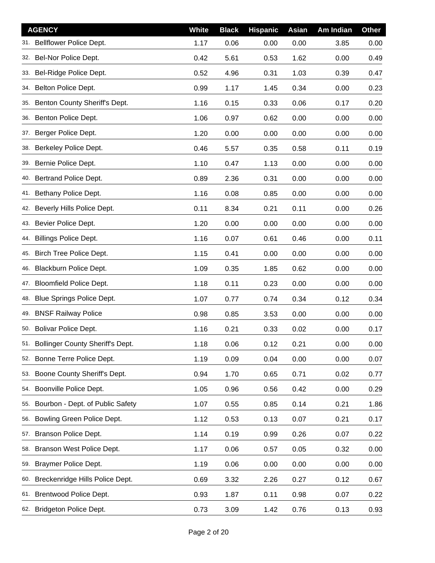|     | <b>AGENCY</b>                        | <b>White</b> | <b>Black</b> | <b>Hispanic</b> | Asian | Am Indian | <b>Other</b> |
|-----|--------------------------------------|--------------|--------------|-----------------|-------|-----------|--------------|
| 31. | Bellflower Police Dept.              | 1.17         | 0.06         | 0.00            | 0.00  | 3.85      | 0.00         |
|     | 32. Bel-Nor Police Dept.             | 0.42         | 5.61         | 0.53            | 1.62  | 0.00      | 0.49         |
|     | 33. Bel-Ridge Police Dept.           | 0.52         | 4.96         | 0.31            | 1.03  | 0.39      | 0.47         |
| 34. | Belton Police Dept.                  | 0.99         | 1.17         | 1.45            | 0.34  | 0.00      | 0.23         |
| 35. | Benton County Sheriff's Dept.        | 1.16         | 0.15         | 0.33            | 0.06  | 0.17      | 0.20         |
|     | 36. Benton Police Dept.              | 1.06         | 0.97         | 0.62            | 0.00  | 0.00      | 0.00         |
|     | 37. Berger Police Dept.              | 1.20         | 0.00         | 0.00            | 0.00  | 0.00      | 0.00         |
| 38. | Berkeley Police Dept.                | 0.46         | 5.57         | 0.35            | 0.58  | 0.11      | 0.19         |
|     | 39. Bernie Police Dept.              | 1.10         | 0.47         | 1.13            | 0.00  | 0.00      | 0.00         |
|     | 40. Bertrand Police Dept.            | 0.89         | 2.36         | 0.31            | 0.00  | 0.00      | 0.00         |
|     | 41. Bethany Police Dept.             | 1.16         | 0.08         | 0.85            | 0.00  | 0.00      | 0.00         |
| 42. | Beverly Hills Police Dept.           | 0.11         | 8.34         | 0.21            | 0.11  | 0.00      | 0.26         |
|     | 43. Bevier Police Dept.              | 1.20         | 0.00         | 0.00            | 0.00  | 0.00      | 0.00         |
| 44. | <b>Billings Police Dept.</b>         | 1.16         | 0.07         | 0.61            | 0.46  | 0.00      | 0.11         |
|     | 45. Birch Tree Police Dept.          | 1.15         | 0.41         | 0.00            | 0.00  | 0.00      | 0.00         |
| 46. | Blackburn Police Dept.               | 1.09         | 0.35         | 1.85            | 0.62  | 0.00      | 0.00         |
| 47. | <b>Bloomfield Police Dept.</b>       | 1.18         | 0.11         | 0.23            | 0.00  | 0.00      | 0.00         |
| 48. | Blue Springs Police Dept.            | 1.07         | 0.77         | 0.74            | 0.34  | 0.12      | 0.34         |
|     | 49. BNSF Railway Police              | 0.98         | 0.85         | 3.53            | 0.00  | 0.00      | 0.00         |
|     | 50. Bolivar Police Dept.             | 1.16         | 0.21         | 0.33            | 0.02  | 0.00      | 0.17         |
|     | 51. Bollinger County Sheriff's Dept. | 1.18         | 0.06         | 0.12            | 0.21  | 0.00      | 0.00         |
| 52. | Bonne Terre Police Dept.             | 1.19         | 0.09         | 0.04            | 0.00  | 0.00      | 0.07         |
| 53. | Boone County Sheriff's Dept.         | 0.94         | 1.70         | 0.65            | 0.71  | 0.02      | 0.77         |
| 54. | Boonville Police Dept.               | 1.05         | 0.96         | 0.56            | 0.42  | 0.00      | 0.29         |
| 55. | Bourbon - Dept. of Public Safety     | 1.07         | 0.55         | 0.85            | 0.14  | 0.21      | 1.86         |
| 56. | Bowling Green Police Dept.           | 1.12         | 0.53         | 0.13            | 0.07  | 0.21      | 0.17         |
| 57. | Branson Police Dept.                 | 1.14         | 0.19         | 0.99            | 0.26  | 0.07      | 0.22         |
| 58. | Branson West Police Dept.            | 1.17         | 0.06         | 0.57            | 0.05  | 0.32      | 0.00         |
| 59. | Braymer Police Dept.                 | 1.19         | 0.06         | 0.00            | 0.00  | 0.00      | 0.00         |
| 60. | Breckenridge Hills Police Dept.      | 0.69         | 3.32         | 2.26            | 0.27  | 0.12      | 0.67         |
| 61. | Brentwood Police Dept.               | 0.93         | 1.87         | 0.11            | 0.98  | 0.07      | 0.22         |
| 62. | Bridgeton Police Dept.               | 0.73         | 3.09         | 1.42            | 0.76  | 0.13      | 0.93         |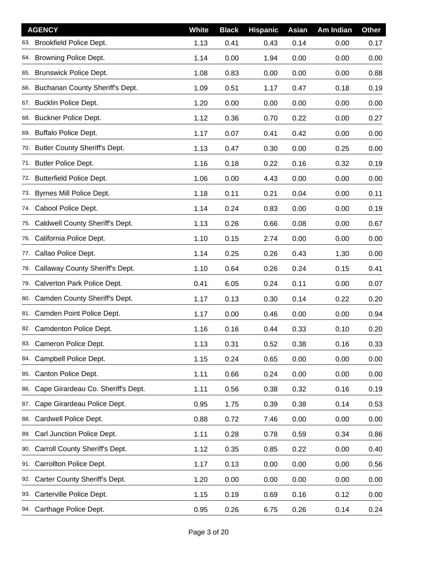|     | <b>AGENCY</b>                       | <b>White</b> | <b>Black</b> | <b>Hispanic</b> | <b>Asian</b> | Am Indian | <b>Other</b> |
|-----|-------------------------------------|--------------|--------------|-----------------|--------------|-----------|--------------|
|     | 63. Brookfield Police Dept.         | 1.13         | 0.41         | 0.43            | 0.14         | 0.00      | 0.17         |
|     | 64. Browning Police Dept.           | 1.14         | 0.00         | 1.94            | 0.00         | 0.00      | 0.00         |
|     | 65. Brunswick Police Dept.          | 1.08         | 0.83         | 0.00            | 0.00         | 0.00      | 0.88         |
|     | 66. Buchanan County Sheriff's Dept. | 1.09         | 0.51         | 1.17            | 0.47         | 0.18      | 0.19         |
|     | 67. Bucklin Police Dept.            | 1.20         | 0.00         | 0.00            | 0.00         | 0.00      | 0.00         |
|     | 68. Buckner Police Dept.            | 1.12         | 0.36         | 0.70            | 0.22         | 0.00      | 0.27         |
|     | 69. Buffalo Police Dept.            | 1.17         | 0.07         | 0.41            | 0.42         | 0.00      | 0.00         |
|     | 70. Butler County Sheriff's Dept.   | 1.13         | 0.47         | 0.30            | 0.00         | 0.25      | 0.00         |
|     | 71. Butler Police Dept.             | 1.16         | 0.18         | 0.22            | 0.16         | 0.32      | 0.19         |
| 72. | <b>Butterfield Police Dept.</b>     | 1.06         | 0.00         | 4.43            | 0.00         | 0.00      | 0.00         |
|     | 73. Byrnes Mill Police Dept.        | 1.18         | 0.11         | 0.21            | 0.04         | 0.00      | 0.11         |
| 74. | Cabool Police Dept.                 | 1.14         | 0.24         | 0.83            | 0.00         | 0.00      | 0.19         |
| 75. | Caldwell County Sheriff's Dept.     | 1.13         | 0.26         | 0.66            | 0.08         | 0.00      | 0.67         |
| 76. | California Police Dept.             | 1.10         | 0.15         | 2.74            | 0.00         | 0.00      | 0.00         |
|     | 77. Callao Police Dept.             | 1.14         | 0.25         | 0.26            | 0.43         | 1.30      | 0.00         |
| 78. | Callaway County Sheriff's Dept.     | 1.10         | 0.64         | 0.26            | 0.24         | 0.15      | 0.41         |
|     | 79. Calverton Park Police Dept.     | 0.41         | 6.05         | 0.24            | 0.11         | 0.00      | 0.07         |
|     | 80. Camden County Sheriff's Dept.   | 1.17         | 0.13         | 0.30            | 0.14         | 0.22      | 0.20         |
|     | 81. Camden Point Police Dept.       | 1.17         | 0.00         | 0.46            | 0.00         | 0.00      | 0.94         |
|     | 82. Camdenton Police Dept.          | 1.16         | 0.16         | 0.44            | 0.33         | 0.10      | 0.20         |
|     | 83. Cameron Police Dept.            | 1.13         | 0.31         | 0.52            | 0.38         | 0.16      | 0.33         |
|     | 84. Campbell Police Dept.           | 1.15         | 0.24         | 0.65            | 0.00         | 0.00      | 0.00         |
| 85. | Canton Police Dept.                 | 1.11         | 0.66         | 0.24            | 0.00         | 0.00      | 0.00         |
| 86. | Cape Girardeau Co. Sheriff's Dept.  | 1.11         | 0.56         | 0.38            | 0.32         | 0.16      | 0.19         |
| 87. | Cape Girardeau Police Dept.         | 0.95         | 1.75         | 0.39            | 0.38         | 0.14      | 0.53         |
| 88. | Cardwell Police Dept.               | 0.88         | 0.72         | 7.46            | 0.00         | 0.00      | 0.00         |
| 89. | Carl Junction Police Dept.          | 1.11         | 0.28         | 0.78            | 0.59         | 0.34      | 0.86         |
| 90. | Carroll County Sheriff's Dept.      | 1.12         | 0.35         | 0.85            | 0.22         | 0.00      | 0.40         |
| 91. | Carrollton Police Dept.             | 1.17         | 0.13         | 0.00            | 0.00         | 0.00      | 0.56         |
| 92. | Carter County Sheriff's Dept.       | 1.20         | 0.00         | 0.00            | 0.00         | 0.00      | 0.00         |
| 93. | Carterville Police Dept.            | 1.15         | 0.19         | 0.69            | 0.16         | 0.12      | 0.00         |
|     | 94. Carthage Police Dept.           | 0.95         | 0.26         | 6.75            | 0.26         | 0.14      | 0.24         |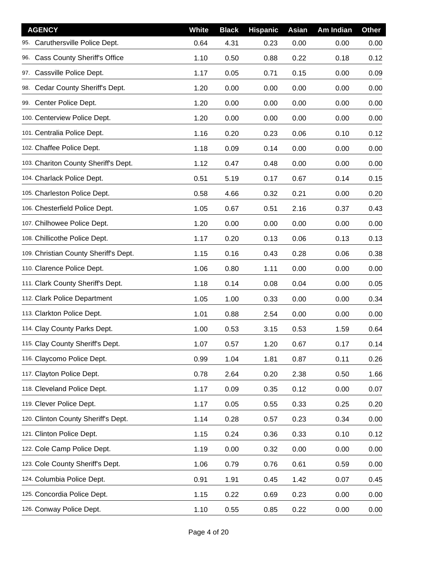| <b>AGENCY</b>                              | <b>White</b> | <b>Black</b> | <b>Hispanic</b> | Asian | Am Indian | <b>Other</b> |
|--------------------------------------------|--------------|--------------|-----------------|-------|-----------|--------------|
| Caruthersville Police Dept.<br>95.         | 0.64         | 4.31         | 0.23            | 0.00  | 0.00      | 0.00         |
| <b>Cass County Sheriff's Office</b><br>96. | 1.10         | 0.50         | 0.88            | 0.22  | 0.18      | 0.12         |
| Cassville Police Dept.<br>97.              | 1.17         | 0.05         | 0.71            | 0.15  | 0.00      | 0.09         |
| Cedar County Sheriff's Dept.<br>98.        | 1.20         | 0.00         | 0.00            | 0.00  | 0.00      | 0.00         |
| 99. Center Police Dept.                    | 1.20         | 0.00         | 0.00            | 0.00  | 0.00      | 0.00         |
| 100. Centerview Police Dept.               | 1.20         | 0.00         | 0.00            | 0.00  | 0.00      | 0.00         |
| 101. Centralia Police Dept.                | 1.16         | 0.20         | 0.23            | 0.06  | 0.10      | 0.12         |
| 102. Chaffee Police Dept.                  | 1.18         | 0.09         | 0.14            | 0.00  | 0.00      | 0.00         |
| 103. Chariton County Sheriff's Dept.       | 1.12         | 0.47         | 0.48            | 0.00  | 0.00      | 0.00         |
| 104. Charlack Police Dept.                 | 0.51         | 5.19         | 0.17            | 0.67  | 0.14      | 0.15         |
| 105. Charleston Police Dept.               | 0.58         | 4.66         | 0.32            | 0.21  | 0.00      | 0.20         |
| 106. Chesterfield Police Dept.             | 1.05         | 0.67         | 0.51            | 2.16  | 0.37      | 0.43         |
| 107. Chilhowee Police Dept.                | 1.20         | 0.00         | 0.00            | 0.00  | 0.00      | 0.00         |
| 108. Chillicothe Police Dept.              | 1.17         | 0.20         | 0.13            | 0.06  | 0.13      | 0.13         |
| 109. Christian County Sheriff's Dept.      | 1.15         | 0.16         | 0.43            | 0.28  | 0.06      | 0.38         |
| 110. Clarence Police Dept.                 | 1.06         | 0.80         | 1.11            | 0.00  | 0.00      | 0.00         |
| 111. Clark County Sheriff's Dept.          | 1.18         | 0.14         | 0.08            | 0.04  | 0.00      | 0.05         |
| 112. Clark Police Department               | 1.05         | 1.00         | 0.33            | 0.00  | 0.00      | 0.34         |
| 113. Clarkton Police Dept.                 | 1.01         | 0.88         | 2.54            | 0.00  | 0.00      | 0.00         |
| 114. Clay County Parks Dept.               | 1.00         | 0.53         | 3.15            | 0.53  | 1.59      | 0.64         |
| 115. Clay County Sheriff's Dept.           | 1.07         | 0.57         | 1.20            | 0.67  | 0.17      | 0.14         |
| 116. Claycomo Police Dept.                 | 0.99         | 1.04         | 1.81            | 0.87  | 0.11      | 0.26         |
| 117. Clayton Police Dept.                  | 0.78         | 2.64         | 0.20            | 2.38  | 0.50      | 1.66         |
| 118. Cleveland Police Dept.                | 1.17         | 0.09         | 0.35            | 0.12  | 0.00      | 0.07         |
| 119. Clever Police Dept.                   | 1.17         | 0.05         | 0.55            | 0.33  | 0.25      | 0.20         |
| 120. Clinton County Sheriff's Dept.        | 1.14         | 0.28         | 0.57            | 0.23  | 0.34      | 0.00         |
| 121. Clinton Police Dept.                  | 1.15         | 0.24         | 0.36            | 0.33  | 0.10      | 0.12         |
| 122. Cole Camp Police Dept.                | 1.19         | 0.00         | 0.32            | 0.00  | 0.00      | 0.00         |
| 123. Cole County Sheriff's Dept.           | 1.06         | 0.79         | 0.76            | 0.61  | 0.59      | 0.00         |
| 124. Columbia Police Dept.                 | 0.91         | 1.91         | 0.45            | 1.42  | 0.07      | 0.45         |
| 125. Concordia Police Dept.                | 1.15         | 0.22         | 0.69            | 0.23  | 0.00      | 0.00         |
| 126. Conway Police Dept.                   | 1.10         | 0.55         | 0.85            | 0.22  | 0.00      | 0.00         |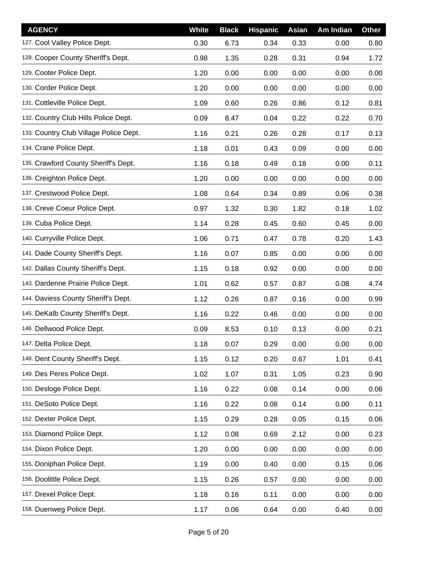| <b>AGENCY</b>                          | <b>White</b> | <b>Black</b> | <b>Hispanic</b> | <b>Asian</b> | Am Indian | <b>Other</b> |
|----------------------------------------|--------------|--------------|-----------------|--------------|-----------|--------------|
| 127. Cool Valley Police Dept.          | 0.30         | 6.73         | 0.34            | 0.33         | 0.00      | 0.80         |
| 128. Cooper County Sheriff's Dept.     | 0.98         | 1.35         | 0.28            | 0.31         | 0.94      | 1.72         |
| 129. Cooter Police Dept.               | 1.20         | 0.00         | 0.00            | 0.00         | 0.00      | 0.00         |
| 130. Corder Police Dept.               | 1.20         | 0.00         | 0.00            | 0.00         | 0.00      | 0.00         |
| 131. Cottleville Police Dept.          | 1.09         | 0.60         | 0.26            | 0.86         | 0.12      | 0.81         |
| 132. Country Club Hills Police Dept.   | 0.09         | 8.47         | 0.04            | 0.22         | 0.22      | 0.70         |
| 133. Country Club Village Police Dept. | 1.16         | 0.21         | 0.26            | 0.28         | 0.17      | 0.13         |
| 134. Crane Police Dept.                | 1.18         | 0.01         | 0.43            | 0.09         | 0.00      | 0.00         |
| 135. Crawford County Sheriff's Dept.   | 1.16         | 0.18         | 0.49            | 0.18         | 0.00      | 0.11         |
| 136. Creighton Police Dept.            | 1.20         | 0.00         | 0.00            | 0.00         | 0.00      | 0.00         |
| 137. Crestwood Police Dept.            | 1.08         | 0.64         | 0.34            | 0.89         | 0.06      | 0.38         |
| 138. Creve Coeur Police Dept.          | 0.97         | 1.32         | 0.30            | 1.82         | 0.18      | 1.02         |
| 139. Cuba Police Dept.                 | 1.14         | 0.28         | 0.45            | 0.60         | 0.45      | 0.00         |
| 140. Curryville Police Dept.           | 1.06         | 0.71         | 0.47            | 0.78         | 0.20      | 1.43         |
| 141. Dade County Sheriff's Dept.       | 1.16         | 0.07         | 0.85            | 0.00         | 0.00      | 0.00         |
| 142. Dallas County Sheriff's Dept.     | 1.15         | 0.18         | 0.92            | 0.00         | 0.00      | 0.00         |
| 143. Dardenne Prairie Police Dept.     | 1.01         | 0.62         | 0.57            | 0.87         | 0.08      | 4.74         |
| 144. Daviess County Sheriff's Dept.    | 1.12         | 0.26         | 0.87            | 0.16         | 0.00      | 0.99         |
| 145. DeKalb County Sheriff's Dept.     | 1.16         | 0.22         | 0.46            | 0.00         | 0.00      | 0.00         |
| 146. Dellwood Police Dept.             | 0.09         | 8.53         | 0.10            | 0.13         | 0.00      | 0.21         |
| 147. Delta Police Dept.                | 1.18         | 0.07         | 0.29            | 0.00         | 0.00      | 0.00         |
| 148. Dent County Sheriff's Dept.       | 1.15         | 0.12         | 0.20            | 0.67         | 1.01      | 0.41         |
| 149. Des Peres Police Dept.            | 1.02         | 1.07         | 0.31            | 1.05         | 0.23      | 0.90         |
| 150. Desloge Police Dept.              | 1.16         | 0.22         | 0.08            | 0.14         | 0.00      | 0.06         |
| 151. DeSoto Police Dept.               | 1.16         | 0.22         | 0.08            | 0.14         | 0.00      | 0.11         |
| 152. Dexter Police Dept.               | 1.15         | 0.29         | 0.28            | 0.05         | 0.15      | 0.06         |
| 153. Diamond Police Dept.              | 1.12         | 0.08         | 0.69            | 2.12         | 0.00      | 0.23         |
| 154. Dixon Police Dept.                | 1.20         | 0.00         | 0.00            | 0.00         | 0.00      | 0.00         |
| 155. Doniphan Police Dept.             | 1.19         | 0.00         | 0.40            | 0.00         | 0.15      | 0.06         |
| 156. Doolittle Police Dept.            | 1.15         | 0.26         | 0.57            | 0.00         | 0.00      | 0.00         |
| 157. Drexel Police Dept.               | 1.18         | 0.16         | 0.11            | 0.00         | 0.00      | 0.00         |
| 158. Duenweg Police Dept.              | 1.17         | 0.06         | 0.64            | 0.00         | 0.40      | 0.00         |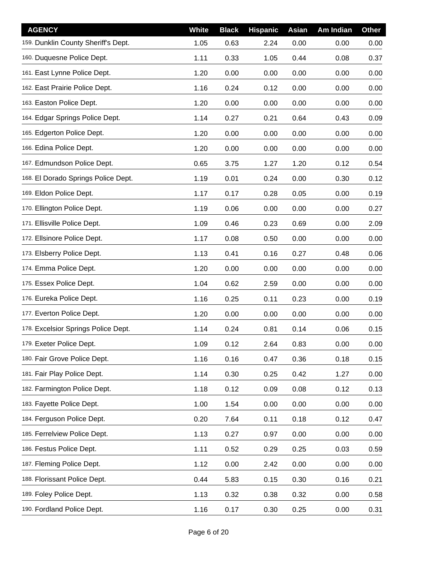| <b>AGENCY</b>                       | <b>White</b> | <b>Black</b> | <b>Hispanic</b> | Asian | Am Indian | <b>Other</b> |
|-------------------------------------|--------------|--------------|-----------------|-------|-----------|--------------|
| 159. Dunklin County Sheriff's Dept. | 1.05         | 0.63         | 2.24            | 0.00  | 0.00      | 0.00         |
| 160. Duquesne Police Dept.          | 1.11         | 0.33         | 1.05            | 0.44  | 0.08      | 0.37         |
| 161. East Lynne Police Dept.        | 1.20         | 0.00         | 0.00            | 0.00  | 0.00      | 0.00         |
| 162. East Prairie Police Dept.      | 1.16         | 0.24         | 0.12            | 0.00  | 0.00      | 0.00         |
| 163. Easton Police Dept.            | 1.20         | 0.00         | 0.00            | 0.00  | 0.00      | 0.00         |
| 164. Edgar Springs Police Dept.     | 1.14         | 0.27         | 0.21            | 0.64  | 0.43      | 0.09         |
| 165. Edgerton Police Dept.          | 1.20         | 0.00         | 0.00            | 0.00  | 0.00      | 0.00         |
| 166. Edina Police Dept.             | 1.20         | 0.00         | 0.00            | 0.00  | 0.00      | 0.00         |
| 167. Edmundson Police Dept.         | 0.65         | 3.75         | 1.27            | 1.20  | 0.12      | 0.54         |
| 168. El Dorado Springs Police Dept. | 1.19         | 0.01         | 0.24            | 0.00  | 0.30      | 0.12         |
| 169. Eldon Police Dept.             | 1.17         | 0.17         | 0.28            | 0.05  | 0.00      | 0.19         |
| 170. Ellington Police Dept.         | 1.19         | 0.06         | 0.00            | 0.00  | 0.00      | 0.27         |
| 171. Ellisville Police Dept.        | 1.09         | 0.46         | 0.23            | 0.69  | 0.00      | 2.09         |
| 172. Ellsinore Police Dept.         | 1.17         | 0.08         | 0.50            | 0.00  | 0.00      | 0.00         |
| 173. Elsberry Police Dept.          | 1.13         | 0.41         | 0.16            | 0.27  | 0.48      | 0.06         |
| 174. Emma Police Dept.              | 1.20         | 0.00         | 0.00            | 0.00  | 0.00      | 0.00         |
| 175. Essex Police Dept.             | 1.04         | 0.62         | 2.59            | 0.00  | 0.00      | 0.00         |
| 176. Eureka Police Dept.            | 1.16         | 0.25         | 0.11            | 0.23  | 0.00      | 0.19         |
| 177. Everton Police Dept.           | 1.20         | 0.00         | 0.00            | 0.00  | 0.00      | 0.00         |
| 178. Excelsior Springs Police Dept. | 1.14         | 0.24         | 0.81            | 0.14  | 0.06      | 0.15         |
| 179. Exeter Police Dept.            | 1.09         | 0.12         | 2.64            | 0.83  | 0.00      | 0.00         |
| 180. Fair Grove Police Dept.        | 1.16         | 0.16         | 0.47            | 0.36  | 0.18      | 0.15         |
| 181. Fair Play Police Dept.         | 1.14         | 0.30         | 0.25            | 0.42  | 1.27      | 0.00         |
| 182. Farmington Police Dept.        | 1.18         | 0.12         | 0.09            | 0.08  | 0.12      | 0.13         |
| 183. Fayette Police Dept.           | 1.00         | 1.54         | 0.00            | 0.00  | 0.00      | 0.00         |
| 184. Ferguson Police Dept.          | 0.20         | 7.64         | 0.11            | 0.18  | 0.12      | 0.47         |
| 185. Ferrelview Police Dept.        | 1.13         | 0.27         | 0.97            | 0.00  | 0.00      | 0.00         |
| 186. Festus Police Dept.            | 1.11         | 0.52         | 0.29            | 0.25  | 0.03      | 0.59         |
| 187. Fleming Police Dept.           | 1.12         | 0.00         | 2.42            | 0.00  | 0.00      | 0.00         |
| 188. Florissant Police Dept.        | 0.44         | 5.83         | 0.15            | 0.30  | 0.16      | 0.21         |
| 189. Foley Police Dept.             | 1.13         | 0.32         | 0.38            | 0.32  | 0.00      | 0.58         |
| 190. Fordland Police Dept.          | 1.16         | 0.17         | 0.30            | 0.25  | 0.00      | 0.31         |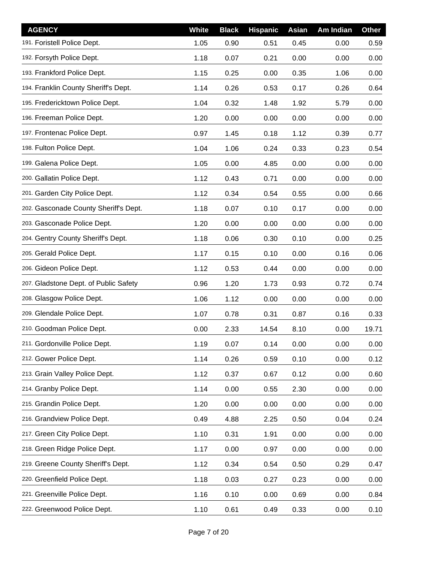| <b>AGENCY</b>                         | <b>White</b> | <b>Black</b> | <b>Hispanic</b> | Asian | Am Indian | Other |
|---------------------------------------|--------------|--------------|-----------------|-------|-----------|-------|
| 191. Foristell Police Dept.           | 1.05         | 0.90         | 0.51            | 0.45  | 0.00      | 0.59  |
| 192. Forsyth Police Dept.             | 1.18         | 0.07         | 0.21            | 0.00  | 0.00      | 0.00  |
| 193. Frankford Police Dept.           | 1.15         | 0.25         | 0.00            | 0.35  | 1.06      | 0.00  |
| 194. Franklin County Sheriff's Dept.  | 1.14         | 0.26         | 0.53            | 0.17  | 0.26      | 0.64  |
| 195. Fredericktown Police Dept.       | 1.04         | 0.32         | 1.48            | 1.92  | 5.79      | 0.00  |
| 196. Freeman Police Dept.             | 1.20         | 0.00         | 0.00            | 0.00  | 0.00      | 0.00  |
| 197. Frontenac Police Dept.           | 0.97         | 1.45         | 0.18            | 1.12  | 0.39      | 0.77  |
| 198. Fulton Police Dept.              | 1.04         | 1.06         | 0.24            | 0.33  | 0.23      | 0.54  |
| 199. Galena Police Dept.              | 1.05         | 0.00         | 4.85            | 0.00  | 0.00      | 0.00  |
| 200. Gallatin Police Dept.            | 1.12         | 0.43         | 0.71            | 0.00  | 0.00      | 0.00  |
| 201. Garden City Police Dept.         | 1.12         | 0.34         | 0.54            | 0.55  | 0.00      | 0.66  |
| 202. Gasconade County Sheriff's Dept. | 1.18         | 0.07         | 0.10            | 0.17  | 0.00      | 0.00  |
| 203. Gasconade Police Dept.           | 1.20         | 0.00         | 0.00            | 0.00  | 0.00      | 0.00  |
| 204. Gentry County Sheriff's Dept.    | 1.18         | 0.06         | 0.30            | 0.10  | 0.00      | 0.25  |
| 205. Gerald Police Dept.              | 1.17         | 0.15         | 0.10            | 0.00  | 0.16      | 0.06  |
| 206. Gideon Police Dept.              | 1.12         | 0.53         | 0.44            | 0.00  | 0.00      | 0.00  |
| 207. Gladstone Dept. of Public Safety | 0.96         | 1.20         | 1.73            | 0.93  | 0.72      | 0.74  |
| 208. Glasgow Police Dept.             | 1.06         | 1.12         | 0.00            | 0.00  | 0.00      | 0.00  |
| 209. Glendale Police Dept.            | 1.07         | 0.78         | 0.31            | 0.87  | 0.16      | 0.33  |
| 210. Goodman Police Dept.             | 0.00         | 2.33         | 14.54           | 8.10  | 0.00      | 19.71 |
| 211. Gordonville Police Dept.         | 1.19         | 0.07         | 0.14            | 0.00  | 0.00      | 0.00  |
| 212. Gower Police Dept.               | 1.14         | 0.26         | 0.59            | 0.10  | 0.00      | 0.12  |
| 213. Grain Valley Police Dept.        | 1.12         | 0.37         | 0.67            | 0.12  | 0.00      | 0.60  |
| 214. Granby Police Dept.              | 1.14         | 0.00         | 0.55            | 2.30  | 0.00      | 0.00  |
| 215. Grandin Police Dept.             | 1.20         | 0.00         | 0.00            | 0.00  | 0.00      | 0.00  |
| 216. Grandview Police Dept.           | 0.49         | 4.88         | 2.25            | 0.50  | 0.04      | 0.24  |
| 217. Green City Police Dept.          | 1.10         | 0.31         | 1.91            | 0.00  | 0.00      | 0.00  |
| 218. Green Ridge Police Dept.         | 1.17         | 0.00         | 0.97            | 0.00  | 0.00      | 0.00  |
| 219. Greene County Sheriff's Dept.    | 1.12         | 0.34         | 0.54            | 0.50  | 0.29      | 0.47  |
| 220. Greenfield Police Dept.          | 1.18         | 0.03         | 0.27            | 0.23  | 0.00      | 0.00  |
| 221. Greenville Police Dept.          | 1.16         | 0.10         | 0.00            | 0.69  | 0.00      | 0.84  |
| 222. Greenwood Police Dept.           | 1.10         | 0.61         | 0.49            | 0.33  | 0.00      | 0.10  |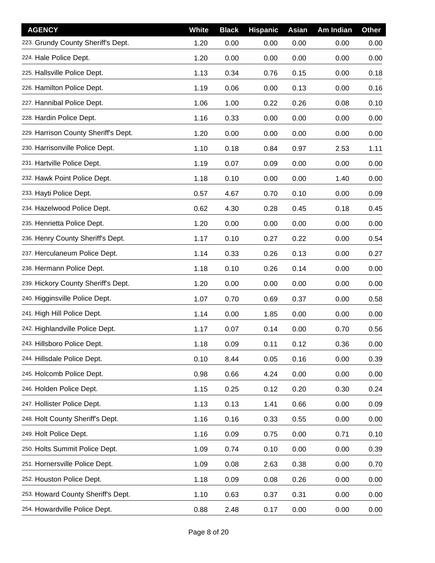| <b>AGENCY</b>                        | White | <b>Black</b> | <b>Hispanic</b> | Asian | Am Indian | <b>Other</b> |
|--------------------------------------|-------|--------------|-----------------|-------|-----------|--------------|
| 223. Grundy County Sheriff's Dept.   | 1.20  | 0.00         | 0.00            | 0.00  | 0.00      | 0.00         |
| 224. Hale Police Dept.               | 1.20  | 0.00         | 0.00            | 0.00  | 0.00      | 0.00         |
| 225. Hallsville Police Dept.         | 1.13  | 0.34         | 0.76            | 0.15  | 0.00      | 0.18         |
| 226. Hamilton Police Dept.           | 1.19  | 0.06         | 0.00            | 0.13  | 0.00      | 0.16         |
| 227. Hannibal Police Dept.           | 1.06  | 1.00         | 0.22            | 0.26  | 0.08      | 0.10         |
| 228. Hardin Police Dept.             | 1.16  | 0.33         | 0.00            | 0.00  | 0.00      | 0.00         |
| 229. Harrison County Sheriff's Dept. | 1.20  | 0.00         | 0.00            | 0.00  | 0.00      | 0.00         |
| 230. Harrisonville Police Dept.      | 1.10  | 0.18         | 0.84            | 0.97  | 2.53      | 1.11         |
| 231. Hartville Police Dept.          | 1.19  | 0.07         | 0.09            | 0.00  | 0.00      | 0.00         |
| 232. Hawk Point Police Dept.         | 1.18  | 0.10         | 0.00            | 0.00  | 1.40      | 0.00         |
| 233. Hayti Police Dept.              | 0.57  | 4.67         | 0.70            | 0.10  | 0.00      | 0.09         |
| 234. Hazelwood Police Dept.          | 0.62  | 4.30         | 0.28            | 0.45  | 0.18      | 0.45         |
| 235. Henrietta Police Dept.          | 1.20  | 0.00         | 0.00            | 0.00  | 0.00      | 0.00         |
| 236. Henry County Sheriff's Dept.    | 1.17  | 0.10         | 0.27            | 0.22  | 0.00      | 0.54         |
| 237. Herculaneum Police Dept.        | 1.14  | 0.33         | 0.26            | 0.13  | 0.00      | 0.27         |
| 238. Hermann Police Dept.            | 1.18  | 0.10         | 0.26            | 0.14  | 0.00      | 0.00         |
| 239. Hickory County Sheriff's Dept.  | 1.20  | 0.00         | 0.00            | 0.00  | 0.00      | 0.00         |
| 240. Higginsville Police Dept.       | 1.07  | 0.70         | 0.69            | 0.37  | 0.00      | 0.58         |
| 241. High Hill Police Dept.          | 1.14  | 0.00         | 1.85            | 0.00  | 0.00      | 0.00         |
| 242. Highlandville Police Dept.      | 1.17  | 0.07         | 0.14            | 0.00  | 0.70      | 0.56         |
| 243. Hillsboro Police Dept.          | 1.18  | 0.09         | 0.11            | 0.12  | 0.36      | 0.00         |
| 244. Hillsdale Police Dept.          | 0.10  | 8.44         | 0.05            | 0.16  | 0.00      | 0.39         |
| 245. Holcomb Police Dept.            | 0.98  | 0.66         | 4.24            | 0.00  | 0.00      | 0.00         |
| 246. Holden Police Dept.             | 1.15  | 0.25         | 0.12            | 0.20  | 0.30      | 0.24         |
| 247. Hollister Police Dept.          | 1.13  | 0.13         | 1.41            | 0.66  | 0.00      | 0.09         |
| 248. Holt County Sheriff's Dept.     | 1.16  | 0.16         | 0.33            | 0.55  | 0.00      | 0.00         |
| 249. Holt Police Dept.               | 1.16  | 0.09         | 0.75            | 0.00  | 0.71      | 0.10         |
| 250. Holts Summit Police Dept.       | 1.09  | 0.74         | 0.10            | 0.00  | 0.00      | 0.39         |
| 251. Hornersville Police Dept.       | 1.09  | 0.08         | 2.63            | 0.38  | 0.00      | 0.70         |
| 252. Houston Police Dept.            | 1.18  | 0.09         | 0.08            | 0.26  | 0.00      | 0.00         |
| 253. Howard County Sheriff's Dept.   | 1.10  | 0.63         | 0.37            | 0.31  | 0.00      | 0.00         |
| 254. Howardville Police Dept.        | 0.88  | 2.48         | 0.17            | 0.00  | 0.00      | 0.00         |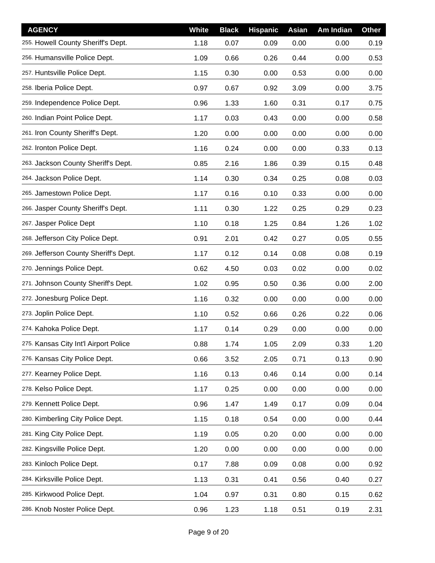| <b>AGENCY</b>                         | White | <b>Black</b> | <b>Hispanic</b> | Asian | Am Indian | <b>Other</b> |
|---------------------------------------|-------|--------------|-----------------|-------|-----------|--------------|
| 255. Howell County Sheriff's Dept.    | 1.18  | 0.07         | 0.09            | 0.00  | 0.00      | 0.19         |
| 256. Humansville Police Dept.         | 1.09  | 0.66         | 0.26            | 0.44  | 0.00      | 0.53         |
| 257. Huntsville Police Dept.          | 1.15  | 0.30         | 0.00            | 0.53  | 0.00      | 0.00         |
| 258. Iberia Police Dept.              | 0.97  | 0.67         | 0.92            | 3.09  | 0.00      | 3.75         |
| 259. Independence Police Dept.        | 0.96  | 1.33         | 1.60            | 0.31  | 0.17      | 0.75         |
| 260. Indian Point Police Dept.        | 1.17  | 0.03         | 0.43            | 0.00  | 0.00      | 0.58         |
| 261. Iron County Sheriff's Dept.      | 1.20  | 0.00         | 0.00            | 0.00  | 0.00      | 0.00         |
| 262. Ironton Police Dept.             | 1.16  | 0.24         | 0.00            | 0.00  | 0.33      | 0.13         |
| 263. Jackson County Sheriff's Dept.   | 0.85  | 2.16         | 1.86            | 0.39  | 0.15      | 0.48         |
| 264. Jackson Police Dept.             | 1.14  | 0.30         | 0.34            | 0.25  | 0.08      | 0.03         |
| 265. Jamestown Police Dept.           | 1.17  | 0.16         | 0.10            | 0.33  | 0.00      | 0.00         |
| 266. Jasper County Sheriff's Dept.    | 1.11  | 0.30         | 1.22            | 0.25  | 0.29      | 0.23         |
| 267. Jasper Police Dept               | 1.10  | 0.18         | 1.25            | 0.84  | 1.26      | 1.02         |
| 268. Jefferson City Police Dept.      | 0.91  | 2.01         | 0.42            | 0.27  | 0.05      | 0.55         |
| 269. Jefferson County Sheriff's Dept. | 1.17  | 0.12         | 0.14            | 0.08  | 0.08      | 0.19         |
| 270. Jennings Police Dept.            | 0.62  | 4.50         | 0.03            | 0.02  | 0.00      | 0.02         |
| 271. Johnson County Sheriff's Dept.   | 1.02  | 0.95         | 0.50            | 0.36  | 0.00      | 2.00         |
| 272. Jonesburg Police Dept.           | 1.16  | 0.32         | 0.00            | 0.00  | 0.00      | 0.00         |
| 273. Joplin Police Dept.              | 1.10  | 0.52         | 0.66            | 0.26  | 0.22      | 0.06         |
| 274. Kahoka Police Dept.              | 1.17  | 0.14         | 0.29            | 0.00  | 0.00      | 0.00         |
| 275. Kansas City Int'l Airport Police | 0.88  | 1.74         | 1.05            | 2.09  | 0.33      | 1.20         |
| 276. Kansas City Police Dept.         | 0.66  | 3.52         | 2.05            | 0.71  | 0.13      | 0.90         |
| 277. Kearney Police Dept.             | 1.16  | 0.13         | 0.46            | 0.14  | 0.00      | 0.14         |
| 278. Kelso Police Dept.               | 1.17  | 0.25         | 0.00            | 0.00  | 0.00      | 0.00         |
| 279. Kennett Police Dept.             | 0.96  | 1.47         | 1.49            | 0.17  | 0.09      | 0.04         |
| 280. Kimberling City Police Dept.     | 1.15  | 0.18         | 0.54            | 0.00  | 0.00      | 0.44         |
| 281. King City Police Dept.           | 1.19  | 0.05         | 0.20            | 0.00  | 0.00      | 0.00         |
| 282. Kingsville Police Dept.          | 1.20  | 0.00         | 0.00            | 0.00  | 0.00      | 0.00         |
| 283. Kinloch Police Dept.             | 0.17  | 7.88         | 0.09            | 0.08  | 0.00      | 0.92         |
| 284. Kirksville Police Dept.          | 1.13  | 0.31         | 0.41            | 0.56  | 0.40      | 0.27         |
| 285. Kirkwood Police Dept.            | 1.04  | 0.97         | 0.31            | 0.80  | 0.15      | 0.62         |
| 286. Knob Noster Police Dept.         | 0.96  | 1.23         | 1.18            | 0.51  | 0.19      | 2.31         |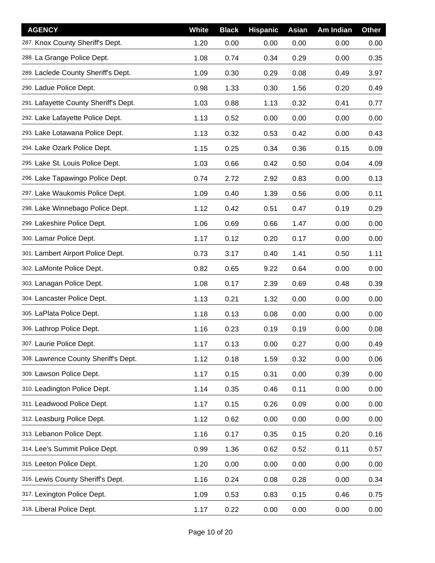| <b>AGENCY</b>                         | White | <b>Black</b> | <b>Hispanic</b> | Asian | Am Indian | <b>Other</b> |
|---------------------------------------|-------|--------------|-----------------|-------|-----------|--------------|
| 287. Knox County Sheriff's Dept.      | 1.20  | 0.00         | 0.00            | 0.00  | 0.00      | 0.00         |
| 288. La Grange Police Dept.           | 1.08  | 0.74         | 0.34            | 0.29  | 0.00      | 0.35         |
| 289. Laclede County Sheriff's Dept.   | 1.09  | 0.30         | 0.29            | 0.08  | 0.49      | 3.97         |
| 290. Ladue Police Dept.               | 0.98  | 1.33         | 0.30            | 1.56  | 0.20      | 0.49         |
| 291. Lafayette County Sheriff's Dept. | 1.03  | 0.88         | 1.13            | 0.32  | 0.41      | 0.77         |
| 292. Lake Lafayette Police Dept.      | 1.13  | 0.52         | 0.00            | 0.00  | 0.00      | 0.00         |
| 293. Lake Lotawana Police Dept.       | 1.13  | 0.32         | 0.53            | 0.42  | 0.00      | 0.43         |
| 294. Lake Ozark Police Dept.          | 1.15  | 0.25         | 0.34            | 0.36  | 0.15      | 0.09         |
| 295. Lake St. Louis Police Dept.      | 1.03  | 0.66         | 0.42            | 0.50  | 0.04      | 4.09         |
| 296. Lake Tapawingo Police Dept.      | 0.74  | 2.72         | 2.92            | 0.83  | 0.00      | 0.13         |
| 297. Lake Waukomis Police Dept.       | 1.09  | 0.40         | 1.39            | 0.56  | 0.00      | 0.11         |
| 298. Lake Winnebago Police Dept.      | 1.12  | 0.42         | 0.51            | 0.47  | 0.19      | 0.29         |
| 299. Lakeshire Police Dept.           | 1.06  | 0.69         | 0.66            | 1.47  | 0.00      | 0.00         |
| 300. Lamar Police Dept.               | 1.17  | 0.12         | 0.20            | 0.17  | 0.00      | 0.00         |
| 301. Lambert Airport Police Dept.     | 0.73  | 3.17         | 0.40            | 1.41  | 0.50      | 1.11         |
| 302. LaMonte Police Dept.             | 0.82  | 0.65         | 9.22            | 0.64  | 0.00      | 0.00         |
| 303. Lanagan Police Dept.             | 1.08  | 0.17         | 2.39            | 0.69  | 0.48      | 0.39         |
| 304. Lancaster Police Dept.           | 1.13  | 0.21         | 1.32            | 0.00  | 0.00      | 0.00         |
| 305. LaPlata Police Dept.             | 1.18  | 0.13         | 0.08            | 0.00  | 0.00      | 0.00         |
| 306. Lathrop Police Dept.             | 1.16  | 0.23         | 0.19            | 0.19  | 0.00      | 0.08         |
| 307. Laurie Police Dept.              | 1.17  | 0.13         | 0.00            | 0.27  | 0.00      | 0.49         |
| 308. Lawrence County Sheriff's Dept.  | 1.12  | 0.18         | 1.59            | 0.32  | 0.00      | 0.06         |
| 309. Lawson Police Dept.              | 1.17  | 0.15         | 0.31            | 0.00  | 0.39      | 0.00         |
| 310. Leadington Police Dept.          | 1.14  | 0.35         | 0.46            | 0.11  | 0.00      | 0.00         |
| 311. Leadwood Police Dept.            | 1.17  | 0.15         | 0.26            | 0.09  | 0.00      | 0.00         |
| 312. Leasburg Police Dept.            | 1.12  | 0.62         | 0.00            | 0.00  | 0.00      | 0.00         |
| 313. Lebanon Police Dept.             | 1.16  | 0.17         | 0.35            | 0.15  | 0.20      | 0.16         |
| 314. Lee's Summit Police Dept.        | 0.99  | 1.36         | 0.62            | 0.52  | 0.11      | 0.57         |
| 315. Leeton Police Dept.              | 1.20  | 0.00         | 0.00            | 0.00  | 0.00      | 0.00         |
| 316. Lewis County Sheriff's Dept.     | 1.16  | 0.24         | 0.08            | 0.28  | 0.00      | 0.34         |
| 317. Lexington Police Dept.           | 1.09  | 0.53         | 0.83            | 0.15  | 0.46      | 0.75         |
| 318. Liberal Police Dept.             | 1.17  | 0.22         | 0.00            | 0.00  | 0.00      | 0.00         |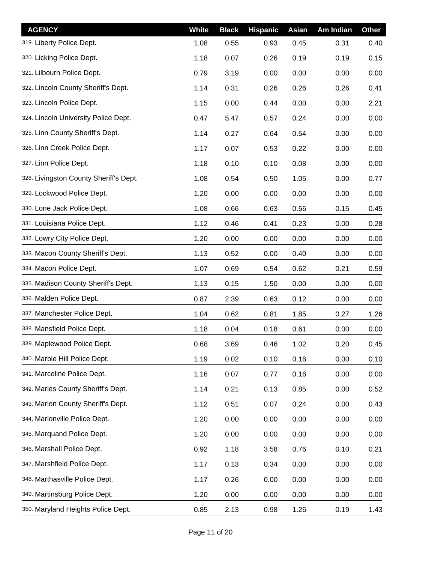| <b>AGENCY</b>                          | <b>White</b> | <b>Black</b> | <b>Hispanic</b> | Asian | Am Indian | <b>Other</b> |
|----------------------------------------|--------------|--------------|-----------------|-------|-----------|--------------|
| 319. Liberty Police Dept.              | 1.08         | 0.55         | 0.93            | 0.45  | 0.31      | 0.40         |
| 320. Licking Police Dept.              | 1.18         | 0.07         | 0.26            | 0.19  | 0.19      | 0.15         |
| 321. Lilbourn Police Dept.             | 0.79         | 3.19         | 0.00            | 0.00  | 0.00      | 0.00         |
| 322. Lincoln County Sheriff's Dept.    | 1.14         | 0.31         | 0.26            | 0.26  | 0.26      | 0.41         |
| 323. Lincoln Police Dept.              | 1.15         | 0.00         | 0.44            | 0.00  | 0.00      | 2.21         |
| 324. Lincoln University Police Dept.   | 0.47         | 5.47         | 0.57            | 0.24  | 0.00      | 0.00         |
| 325. Linn County Sheriff's Dept.       | 1.14         | 0.27         | 0.64            | 0.54  | 0.00      | 0.00         |
| 326. Linn Creek Police Dept.           | 1.17         | 0.07         | 0.53            | 0.22  | 0.00      | 0.00         |
| 327. Linn Police Dept.                 | 1.18         | 0.10         | 0.10            | 0.08  | 0.00      | 0.00         |
| 328. Livingston County Sheriff's Dept. | 1.08         | 0.54         | 0.50            | 1.05  | 0.00      | 0.77         |
| 329. Lockwood Police Dept.             | 1.20         | 0.00         | 0.00            | 0.00  | 0.00      | 0.00         |
| 330. Lone Jack Police Dept.            | 1.08         | 0.66         | 0.63            | 0.56  | 0.15      | 0.45         |
| 331. Louisiana Police Dept.            | 1.12         | 0.46         | 0.41            | 0.23  | 0.00      | 0.28         |
| 332. Lowry City Police Dept.           | 1.20         | 0.00         | 0.00            | 0.00  | 0.00      | 0.00         |
| 333. Macon County Sheriff's Dept.      | 1.13         | 0.52         | 0.00            | 0.40  | 0.00      | 0.00         |
| 334. Macon Police Dept.                | 1.07         | 0.69         | 0.54            | 0.62  | 0.21      | 0.59         |
| 335. Madison County Sheriff's Dept.    | 1.13         | 0.15         | 1.50            | 0.00  | 0.00      | 0.00         |
| 336. Malden Police Dept.               | 0.87         | 2.39         | 0.63            | 0.12  | 0.00      | 0.00         |
| 337. Manchester Police Dept.           | 1.04         | 0.62         | 0.81            | 1.85  | 0.27      | 1.26         |
| 338. Mansfield Police Dept.            | 1.18         | 0.04         | 0.18            | 0.61  | 0.00      | 0.00         |
| 339. Maplewood Police Dept.            | 0.68         | 3.69         | 0.46            | 1.02  | 0.20      | 0.45         |
| 340. Marble Hill Police Dept.          | 1.19         | 0.02         | 0.10            | 0.16  | 0.00      | 0.10         |
| 341. Marceline Police Dept.            | 1.16         | 0.07         | 0.77            | 0.16  | 0.00      | 0.00         |
| 342. Maries County Sheriff's Dept.     | 1.14         | 0.21         | 0.13            | 0.85  | 0.00      | 0.52         |
| 343. Marion County Sheriff's Dept.     | 1.12         | 0.51         | 0.07            | 0.24  | 0.00      | 0.43         |
| 344. Marionville Police Dept.          | 1.20         | 0.00         | 0.00            | 0.00  | 0.00      | 0.00         |
| 345. Marquand Police Dept.             | 1.20         | 0.00         | 0.00            | 0.00  | 0.00      | 0.00         |
| 346. Marshall Police Dept.             | 0.92         | 1.18         | 3.58            | 0.76  | 0.10      | 0.21         |
| 347. Marshfield Police Dept.           | 1.17         | 0.13         | 0.34            | 0.00  | 0.00      | 0.00         |
| 348. Marthasville Police Dept.         | 1.17         | 0.26         | 0.00            | 0.00  | 0.00      | 0.00         |
| 349. Martinsburg Police Dept.          | 1.20         | 0.00         | 0.00            | 0.00  | 0.00      | 0.00         |
| 350. Maryland Heights Police Dept.     | 0.85         | 2.13         | 0.98            | 1.26  | 0.19      | 1.43         |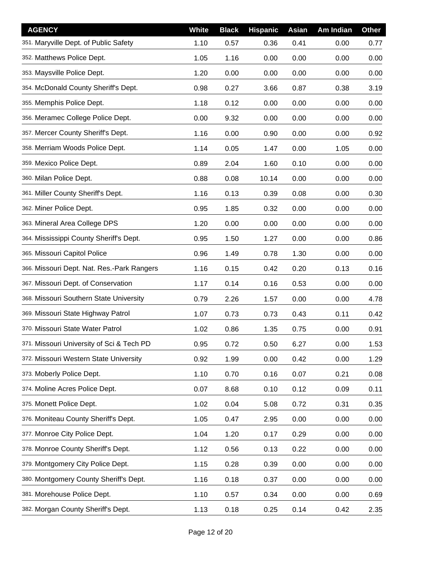| <b>AGENCY</b>                              | White | <b>Black</b> | <b>Hispanic</b> | Asian | Am Indian | <b>Other</b> |
|--------------------------------------------|-------|--------------|-----------------|-------|-----------|--------------|
| 351. Maryville Dept. of Public Safety      | 1.10  | 0.57         | 0.36            | 0.41  | 0.00      | 0.77         |
| 352. Matthews Police Dept.                 | 1.05  | 1.16         | 0.00            | 0.00  | 0.00      | 0.00         |
| 353. Maysville Police Dept.                | 1.20  | 0.00         | 0.00            | 0.00  | 0.00      | 0.00         |
| 354. McDonald County Sheriff's Dept.       | 0.98  | 0.27         | 3.66            | 0.87  | 0.38      | 3.19         |
| 355. Memphis Police Dept.                  | 1.18  | 0.12         | 0.00            | 0.00  | 0.00      | 0.00         |
| 356. Meramec College Police Dept.          | 0.00  | 9.32         | 0.00            | 0.00  | 0.00      | 0.00         |
| 357. Mercer County Sheriff's Dept.         | 1.16  | 0.00         | 0.90            | 0.00  | 0.00      | 0.92         |
| 358. Merriam Woods Police Dept.            | 1.14  | 0.05         | 1.47            | 0.00  | 1.05      | 0.00         |
| 359. Mexico Police Dept.                   | 0.89  | 2.04         | 1.60            | 0.10  | 0.00      | 0.00         |
| 360. Milan Police Dept.                    | 0.88  | 0.08         | 10.14           | 0.00  | 0.00      | 0.00         |
| 361. Miller County Sheriff's Dept.         | 1.16  | 0.13         | 0.39            | 0.08  | 0.00      | 0.30         |
| 362. Miner Police Dept.                    | 0.95  | 1.85         | 0.32            | 0.00  | 0.00      | 0.00         |
| 363. Mineral Area College DPS              | 1.20  | 0.00         | 0.00            | 0.00  | 0.00      | 0.00         |
| 364. Mississippi County Sheriff's Dept.    | 0.95  | 1.50         | 1.27            | 0.00  | 0.00      | 0.86         |
| 365. Missouri Capitol Police               | 0.96  | 1.49         | 0.78            | 1.30  | 0.00      | 0.00         |
| 366. Missouri Dept. Nat. Res.-Park Rangers | 1.16  | 0.15         | 0.42            | 0.20  | 0.13      | 0.16         |
| 367. Missouri Dept. of Conservation        | 1.17  | 0.14         | 0.16            | 0.53  | 0.00      | 0.00         |
| 368. Missouri Southern State University    | 0.79  | 2.26         | 1.57            | 0.00  | 0.00      | 4.78         |
| 369. Missouri State Highway Patrol         | 1.07  | 0.73         | 0.73            | 0.43  | 0.11      | 0.42         |
| 370. Missouri State Water Patrol           | 1.02  | 0.86         | 1.35            | 0.75  | 0.00      | 0.91         |
| 371. Missouri University of Sci & Tech PD  | 0.95  | 0.72         | 0.50            | 6.27  | 0.00      | 1.53         |
| 372. Missouri Western State University     | 0.92  | 1.99         | 0.00            | 0.42  | 0.00      | 1.29         |
| 373. Moberly Police Dept.                  | 1.10  | 0.70         | 0.16            | 0.07  | 0.21      | 0.08         |
| 374. Moline Acres Police Dept.             | 0.07  | 8.68         | 0.10            | 0.12  | 0.09      | 0.11         |
| 375. Monett Police Dept.                   | 1.02  | 0.04         | 5.08            | 0.72  | 0.31      | 0.35         |
| 376. Moniteau County Sheriff's Dept.       | 1.05  | 0.47         | 2.95            | 0.00  | 0.00      | 0.00         |
| 377. Monroe City Police Dept.              | 1.04  | 1.20         | 0.17            | 0.29  | 0.00      | 0.00         |
| 378. Monroe County Sheriff's Dept.         | 1.12  | 0.56         | 0.13            | 0.22  | 0.00      | 0.00         |
| 379. Montgomery City Police Dept.          | 1.15  | 0.28         | 0.39            | 0.00  | 0.00      | 0.00         |
| 380. Montgomery County Sheriff's Dept.     | 1.16  | 0.18         | 0.37            | 0.00  | 0.00      | 0.00         |
| 381. Morehouse Police Dept.                | 1.10  | 0.57         | 0.34            | 0.00  | 0.00      | 0.69         |
| 382. Morgan County Sheriff's Dept.         | 1.13  | 0.18         | 0.25            | 0.14  | 0.42      | 2.35         |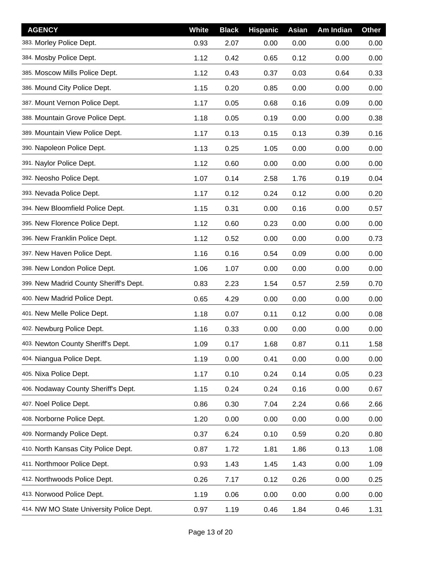| <b>AGENCY</b>                            | White | <b>Black</b> | <b>Hispanic</b> | Asian | Am Indian | <b>Other</b> |
|------------------------------------------|-------|--------------|-----------------|-------|-----------|--------------|
| 383. Morley Police Dept.                 | 0.93  | 2.07         | 0.00            | 0.00  | 0.00      | 0.00         |
| 384. Mosby Police Dept.                  | 1.12  | 0.42         | 0.65            | 0.12  | 0.00      | 0.00         |
| 385. Moscow Mills Police Dept.           | 1.12  | 0.43         | 0.37            | 0.03  | 0.64      | 0.33         |
| 386. Mound City Police Dept.             | 1.15  | 0.20         | 0.85            | 0.00  | 0.00      | 0.00         |
| 387. Mount Vernon Police Dept.           | 1.17  | 0.05         | 0.68            | 0.16  | 0.09      | 0.00         |
| 388. Mountain Grove Police Dept.         | 1.18  | 0.05         | 0.19            | 0.00  | 0.00      | 0.38         |
| 389. Mountain View Police Dept.          | 1.17  | 0.13         | 0.15            | 0.13  | 0.39      | 0.16         |
| 390. Napoleon Police Dept.               | 1.13  | 0.25         | 1.05            | 0.00  | 0.00      | 0.00         |
| 391. Naylor Police Dept.                 | 1.12  | 0.60         | 0.00            | 0.00  | 0.00      | 0.00         |
| 392. Neosho Police Dept.                 | 1.07  | 0.14         | 2.58            | 1.76  | 0.19      | 0.04         |
| 393. Nevada Police Dept.                 | 1.17  | 0.12         | 0.24            | 0.12  | 0.00      | 0.20         |
| 394. New Bloomfield Police Dept.         | 1.15  | 0.31         | 0.00            | 0.16  | 0.00      | 0.57         |
| 395. New Florence Police Dept.           | 1.12  | 0.60         | 0.23            | 0.00  | 0.00      | 0.00         |
| 396. New Franklin Police Dept.           | 1.12  | 0.52         | 0.00            | 0.00  | 0.00      | 0.73         |
| 397. New Haven Police Dept.              | 1.16  | 0.16         | 0.54            | 0.09  | 0.00      | 0.00         |
| 398. New London Police Dept.             | 1.06  | 1.07         | 0.00            | 0.00  | 0.00      | 0.00         |
| 399. New Madrid County Sheriff's Dept.   | 0.83  | 2.23         | 1.54            | 0.57  | 2.59      | 0.70         |
| 400. New Madrid Police Dept.             | 0.65  | 4.29         | 0.00            | 0.00  | 0.00      | 0.00         |
| 401. New Melle Police Dept.              | 1.18  | 0.07         | 0.11            | 0.12  | 0.00      | 0.08         |
| 402. Newburg Police Dept.                | 1.16  | 0.33         | 0.00            | 0.00  | 0.00      | 0.00         |
| 403. Newton County Sheriff's Dept.       | 1.09  | 0.17         | 1.68            | 0.87  | 0.11      | 1.58         |
| 404. Niangua Police Dept.                | 1.19  | 0.00         | 0.41            | 0.00  | 0.00      | 0.00         |
| 405. Nixa Police Dept.                   | 1.17  | 0.10         | 0.24            | 0.14  | 0.05      | 0.23         |
| 406. Nodaway County Sheriff's Dept.      | 1.15  | 0.24         | 0.24            | 0.16  | 0.00      | 0.67         |
| 407. Noel Police Dept.                   | 0.86  | 0.30         | 7.04            | 2.24  | 0.66      | 2.66         |
| 408. Norborne Police Dept.               | 1.20  | 0.00         | 0.00            | 0.00  | 0.00      | 0.00         |
| 409. Normandy Police Dept.               | 0.37  | 6.24         | 0.10            | 0.59  | 0.20      | 0.80         |
| 410. North Kansas City Police Dept.      | 0.87  | 1.72         | 1.81            | 1.86  | 0.13      | 1.08         |
| 411. Northmoor Police Dept.              | 0.93  | 1.43         | 1.45            | 1.43  | 0.00      | 1.09         |
| 412. Northwoods Police Dept.             | 0.26  | 7.17         | 0.12            | 0.26  | 0.00      | 0.25         |
| 413. Norwood Police Dept.                | 1.19  | 0.06         | 0.00            | 0.00  | 0.00      | 0.00         |
| 414. NW MO State University Police Dept. | 0.97  | 1.19         | 0.46            | 1.84  | 0.46      | 1.31         |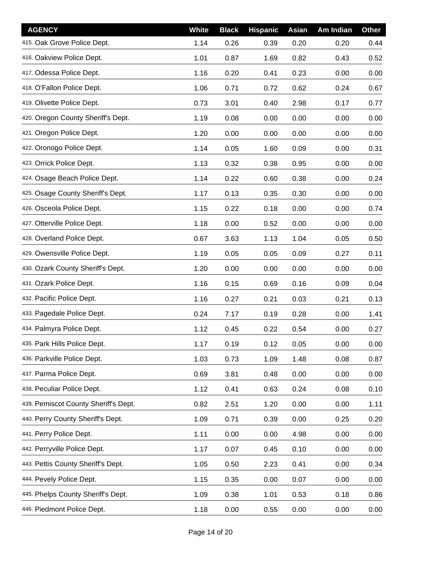| <b>AGENCY</b>                        | <b>White</b> | <b>Black</b> | <b>Hispanic</b> | Asian | Am Indian | <b>Other</b> |
|--------------------------------------|--------------|--------------|-----------------|-------|-----------|--------------|
| 415. Oak Grove Police Dept.          | 1.14         | 0.26         | 0.39            | 0.20  | 0.20      | 0.44         |
| 416. Oakview Police Dept.            | 1.01         | 0.87         | 1.69            | 0.82  | 0.43      | 0.52         |
| 417. Odessa Police Dept.             | 1.16         | 0.20         | 0.41            | 0.23  | 0.00      | 0.00         |
| 418. O'Fallon Police Dept.           | 1.06         | 0.71         | 0.72            | 0.62  | 0.24      | 0.67         |
| 419. Olivette Police Dept.           | 0.73         | 3.01         | 0.40            | 2.98  | 0.17      | 0.77         |
| 420. Oregon County Sheriff's Dept.   | 1.19         | 0.08         | 0.00            | 0.00  | 0.00      | 0.00         |
| 421. Oregon Police Dept.             | 1.20         | 0.00         | 0.00            | 0.00  | 0.00      | 0.00         |
| 422. Oronogo Police Dept.            | 1.14         | 0.05         | 1.60            | 0.09  | 0.00      | 0.31         |
| 423. Orrick Police Dept.             | 1.13         | 0.32         | 0.38            | 0.95  | 0.00      | 0.00         |
| 424. Osage Beach Police Dept.        | 1.14         | 0.22         | 0.60            | 0.38  | 0.00      | 0.24         |
| 425. Osage County Sheriff's Dept.    | 1.17         | 0.13         | 0.35            | 0.30  | 0.00      | 0.00         |
| 426. Osceola Police Dept.            | 1.15         | 0.22         | 0.18            | 0.00  | 0.00      | 0.74         |
| 427. Otterville Police Dept.         | 1.18         | 0.00         | 0.52            | 0.00  | 0.00      | 0.00         |
| 428. Overland Police Dept.           | 0.67         | 3.63         | 1.13            | 1.04  | 0.05      | 0.50         |
| 429. Owensville Police Dept.         | 1.19         | 0.05         | 0.05            | 0.09  | 0.27      | 0.11         |
| 430. Ozark County Sheriff's Dept.    | 1.20         | 0.00         | 0.00            | 0.00  | 0.00      | 0.00         |
| 431. Ozark Police Dept.              | 1.16         | 0.15         | 0.69            | 0.16  | 0.09      | 0.04         |
| 432. Pacific Police Dept.            | 1.16         | 0.27         | 0.21            | 0.03  | 0.21      | 0.13         |
| 433. Pagedale Police Dept.           | 0.24         | 7.17         | 0.19            | 0.28  | 0.00      | 1.41         |
| 434. Palmyra Police Dept.            | 1.12         | 0.45         | 0.22            | 0.54  | 0.00      | 0.27         |
| 435. Park Hills Police Dept.         | 1.17         | 0.19         | 0.12            | 0.05  | 0.00      | 0.00         |
| 436. Parkville Police Dept.          | 1.03         | 0.73         | 1.09            | 1.48  | 0.08      | 0.87         |
| 437. Parma Police Dept.              | 0.69         | 3.81         | 0.48            | 0.00  | 0.00      | 0.00         |
| 438. Peculiar Police Dept.           | 1.12         | 0.41         | 0.63            | 0.24  | 0.08      | 0.10         |
| 439. Pemiscot County Sheriff's Dept. | 0.82         | 2.51         | 1.20            | 0.00  | 0.00      | 1.11         |
| 440. Perry County Sheriff's Dept.    | 1.09         | 0.71         | 0.39            | 0.00  | 0.25      | 0.20         |
| 441. Perry Police Dept.              | 1.11         | 0.00         | 0.00            | 4.98  | 0.00      | 0.00         |
| 442. Perryville Police Dept.         | 1.17         | 0.07         | 0.45            | 0.10  | 0.00      | 0.00         |
| 443. Pettis County Sheriff's Dept.   | 1.05         | 0.50         | 2.23            | 0.41  | 0.00      | 0.34         |
| 444. Pevely Police Dept.             | 1.15         | 0.35         | 0.00            | 0.07  | 0.00      | 0.00         |
| 445. Phelps County Sheriff's Dept.   | 1.09         | 0.38         | 1.01            | 0.53  | 0.18      | 0.86         |
| 446. Piedmont Police Dept.           | 1.18         | 0.00         | 0.55            | 0.00  | 0.00      | 0.00         |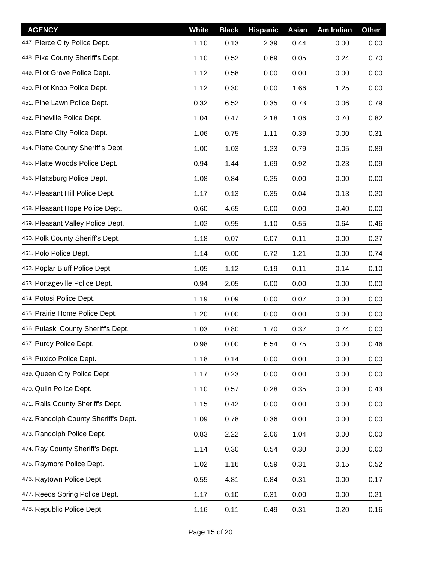| <b>AGENCY</b>                        | White | <b>Black</b> | <b>Hispanic</b> | Asian | Am Indian | <b>Other</b> |
|--------------------------------------|-------|--------------|-----------------|-------|-----------|--------------|
| 447. Pierce City Police Dept.        | 1.10  | 0.13         | 2.39            | 0.44  | 0.00      | 0.00         |
| 448. Pike County Sheriff's Dept.     | 1.10  | 0.52         | 0.69            | 0.05  | 0.24      | 0.70         |
| 449. Pilot Grove Police Dept.        | 1.12  | 0.58         | 0.00            | 0.00  | 0.00      | 0.00         |
| 450. Pilot Knob Police Dept.         | 1.12  | 0.30         | 0.00            | 1.66  | 1.25      | 0.00         |
| 451. Pine Lawn Police Dept.          | 0.32  | 6.52         | 0.35            | 0.73  | 0.06      | 0.79         |
| 452. Pineville Police Dept.          | 1.04  | 0.47         | 2.18            | 1.06  | 0.70      | 0.82         |
| 453. Platte City Police Dept.        | 1.06  | 0.75         | 1.11            | 0.39  | 0.00      | 0.31         |
| 454. Platte County Sheriff's Dept.   | 1.00  | 1.03         | 1.23            | 0.79  | 0.05      | 0.89         |
| 455. Platte Woods Police Dept.       | 0.94  | 1.44         | 1.69            | 0.92  | 0.23      | 0.09         |
| 456. Plattsburg Police Dept.         | 1.08  | 0.84         | 0.25            | 0.00  | 0.00      | 0.00         |
| 457. Pleasant Hill Police Dept.      | 1.17  | 0.13         | 0.35            | 0.04  | 0.13      | 0.20         |
| 458. Pleasant Hope Police Dept.      | 0.60  | 4.65         | 0.00            | 0.00  | 0.40      | 0.00         |
| 459. Pleasant Valley Police Dept.    | 1.02  | 0.95         | 1.10            | 0.55  | 0.64      | 0.46         |
| 460. Polk County Sheriff's Dept.     | 1.18  | 0.07         | 0.07            | 0.11  | 0.00      | 0.27         |
| 461. Polo Police Dept.               | 1.14  | 0.00         | 0.72            | 1.21  | 0.00      | 0.74         |
| 462. Poplar Bluff Police Dept.       | 1.05  | 1.12         | 0.19            | 0.11  | 0.14      | 0.10         |
| 463. Portageville Police Dept.       | 0.94  | 2.05         | 0.00            | 0.00  | 0.00      | 0.00         |
| 464. Potosi Police Dept.             | 1.19  | 0.09         | 0.00            | 0.07  | 0.00      | 0.00         |
| 465. Prairie Home Police Dept.       | 1.20  | 0.00         | 0.00            | 0.00  | 0.00      | 0.00         |
| 466. Pulaski County Sheriff's Dept.  | 1.03  | 0.80         | 1.70            | 0.37  | 0.74      | 0.00         |
| 467. Purdy Police Dept.              | 0.98  | 0.00         | 6.54            | 0.75  | 0.00      | 0.46         |
| 468. Puxico Police Dept.             | 1.18  | 0.14         | 0.00            | 0.00  | 0.00      | 0.00         |
| 469. Queen City Police Dept.         | 1.17  | 0.23         | 0.00            | 0.00  | 0.00      | 0.00         |
| 470. Qulin Police Dept.              | 1.10  | 0.57         | 0.28            | 0.35  | 0.00      | 0.43         |
| 471. Ralls County Sheriff's Dept.    | 1.15  | 0.42         | 0.00            | 0.00  | 0.00      | 0.00         |
| 472. Randolph County Sheriff's Dept. | 1.09  | 0.78         | 0.36            | 0.00  | 0.00      | 0.00         |
| 473. Randolph Police Dept.           | 0.83  | 2.22         | 2.06            | 1.04  | 0.00      | 0.00         |
| 474. Ray County Sheriff's Dept.      | 1.14  | 0.30         | 0.54            | 0.30  | 0.00      | 0.00         |
| 475. Raymore Police Dept.            | 1.02  | 1.16         | 0.59            | 0.31  | 0.15      | 0.52         |
| 476. Raytown Police Dept.            | 0.55  | 4.81         | 0.84            | 0.31  | 0.00      | 0.17         |
| 477. Reeds Spring Police Dept.       | 1.17  | 0.10         | 0.31            | 0.00  | 0.00      | 0.21         |
| 478. Republic Police Dept.           | 1.16  | 0.11         | 0.49            | 0.31  | 0.20      | 0.16         |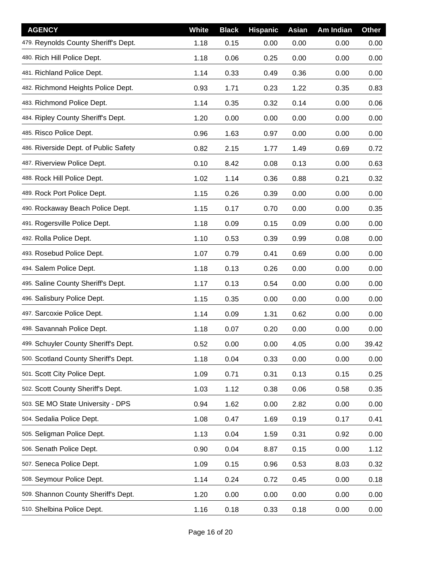| <b>AGENCY</b>                         | <b>White</b> | <b>Black</b> | <b>Hispanic</b> | Asian | Am Indian | <b>Other</b> |
|---------------------------------------|--------------|--------------|-----------------|-------|-----------|--------------|
| 479. Reynolds County Sheriff's Dept.  | 1.18         | 0.15         | 0.00            | 0.00  | 0.00      | 0.00         |
| 480. Rich Hill Police Dept.           | 1.18         | 0.06         | 0.25            | 0.00  | 0.00      | 0.00         |
| 481. Richland Police Dept.            | 1.14         | 0.33         | 0.49            | 0.36  | 0.00      | 0.00         |
| 482. Richmond Heights Police Dept.    | 0.93         | 1.71         | 0.23            | 1.22  | 0.35      | 0.83         |
| 483. Richmond Police Dept.            | 1.14         | 0.35         | 0.32            | 0.14  | 0.00      | 0.06         |
| 484. Ripley County Sheriff's Dept.    | 1.20         | 0.00         | 0.00            | 0.00  | 0.00      | 0.00         |
| 485. Risco Police Dept.               | 0.96         | 1.63         | 0.97            | 0.00  | 0.00      | 0.00         |
| 486. Riverside Dept. of Public Safety | 0.82         | 2.15         | 1.77            | 1.49  | 0.69      | 0.72         |
| 487. Riverview Police Dept.           | 0.10         | 8.42         | 0.08            | 0.13  | 0.00      | 0.63         |
| 488. Rock Hill Police Dept.           | 1.02         | 1.14         | 0.36            | 0.88  | 0.21      | 0.32         |
| 489. Rock Port Police Dept.           | 1.15         | 0.26         | 0.39            | 0.00  | 0.00      | 0.00         |
| 490. Rockaway Beach Police Dept.      | 1.15         | 0.17         | 0.70            | 0.00  | 0.00      | 0.35         |
| 491. Rogersville Police Dept.         | 1.18         | 0.09         | 0.15            | 0.09  | 0.00      | 0.00         |
| 492. Rolla Police Dept.               | 1.10         | 0.53         | 0.39            | 0.99  | 0.08      | 0.00         |
| 493. Rosebud Police Dept.             | 1.07         | 0.79         | 0.41            | 0.69  | 0.00      | 0.00         |
| 494. Salem Police Dept.               | 1.18         | 0.13         | 0.26            | 0.00  | 0.00      | 0.00         |
| 495. Saline County Sheriff's Dept.    | 1.17         | 0.13         | 0.54            | 0.00  | 0.00      | 0.00         |
| 496. Salisbury Police Dept.           | 1.15         | 0.35         | 0.00            | 0.00  | 0.00      | 0.00         |
| 497. Sarcoxie Police Dept.            | 1.14         | 0.09         | 1.31            | 0.62  | 0.00      | 0.00         |
| 498. Savannah Police Dept.            | 1.18         | 0.07         | 0.20            | 0.00  | 0.00      | 0.00         |
| 499. Schuyler County Sheriff's Dept.  | 0.52         | 0.00         | 0.00            | 4.05  | 0.00      | 39.42        |
| 500. Scotland County Sheriff's Dept.  | 1.18         | 0.04         | 0.33            | 0.00  | 0.00      | 0.00         |
| 501. Scott City Police Dept.          | 1.09         | 0.71         | 0.31            | 0.13  | 0.15      | 0.25         |
| 502. Scott County Sheriff's Dept.     | 1.03         | 1.12         | 0.38            | 0.06  | 0.58      | 0.35         |
| 503. SE MO State University - DPS     | 0.94         | 1.62         | 0.00            | 2.82  | 0.00      | 0.00         |
| 504. Sedalia Police Dept.             | 1.08         | 0.47         | 1.69            | 0.19  | 0.17      | 0.41         |
| 505. Seligman Police Dept.            | 1.13         | 0.04         | 1.59            | 0.31  | 0.92      | 0.00         |
| 506. Senath Police Dept.              | 0.90         | 0.04         | 8.87            | 0.15  | 0.00      | 1.12         |
| 507. Seneca Police Dept.              | 1.09         | 0.15         | 0.96            | 0.53  | 8.03      | 0.32         |
| 508. Seymour Police Dept.             | 1.14         | 0.24         | 0.72            | 0.45  | 0.00      | 0.18         |
| 509. Shannon County Sheriff's Dept.   | 1.20         | 0.00         | 0.00            | 0.00  | 0.00      | 0.00         |
| 510. Shelbina Police Dept.            | 1.16         | 0.18         | 0.33            | 0.18  | 0.00      | 0.00         |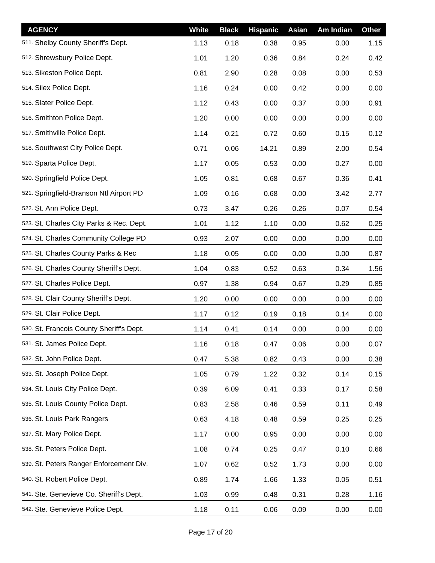| <b>AGENCY</b>                            | <b>White</b> | <b>Black</b> | <b>Hispanic</b> | <b>Asian</b> | Am Indian | Other |
|------------------------------------------|--------------|--------------|-----------------|--------------|-----------|-------|
| 511. Shelby County Sheriff's Dept.       | 1.13         | 0.18         | 0.38            | 0.95         | 0.00      | 1.15  |
| 512. Shrewsbury Police Dept.             | 1.01         | 1.20         | 0.36            | 0.84         | 0.24      | 0.42  |
| 513. Sikeston Police Dept.               | 0.81         | 2.90         | 0.28            | 0.08         | 0.00      | 0.53  |
| 514. Silex Police Dept.                  | 1.16         | 0.24         | 0.00            | 0.42         | 0.00      | 0.00  |
| 515. Slater Police Dept.                 | 1.12         | 0.43         | 0.00            | 0.37         | 0.00      | 0.91  |
| 516. Smithton Police Dept.               | 1.20         | 0.00         | 0.00            | 0.00         | 0.00      | 0.00  |
| 517. Smithville Police Dept.             | 1.14         | 0.21         | 0.72            | 0.60         | 0.15      | 0.12  |
| 518. Southwest City Police Dept.         | 0.71         | 0.06         | 14.21           | 0.89         | 2.00      | 0.54  |
| 519. Sparta Police Dept.                 | 1.17         | 0.05         | 0.53            | 0.00         | 0.27      | 0.00  |
| 520. Springfield Police Dept.            | 1.05         | 0.81         | 0.68            | 0.67         | 0.36      | 0.41  |
| 521. Springfield-Branson Ntl Airport PD  | 1.09         | 0.16         | 0.68            | 0.00         | 3.42      | 2.77  |
| 522. St. Ann Police Dept.                | 0.73         | 3.47         | 0.26            | 0.26         | 0.07      | 0.54  |
| 523. St. Charles City Parks & Rec. Dept. | 1.01         | 1.12         | 1.10            | 0.00         | 0.62      | 0.25  |
| 524. St. Charles Community College PD    | 0.93         | 2.07         | 0.00            | 0.00         | 0.00      | 0.00  |
| 525. St. Charles County Parks & Rec      | 1.18         | 0.05         | 0.00            | 0.00         | 0.00      | 0.87  |
| 526. St. Charles County Sheriff's Dept.  | 1.04         | 0.83         | 0.52            | 0.63         | 0.34      | 1.56  |
| 527. St. Charles Police Dept.            | 0.97         | 1.38         | 0.94            | 0.67         | 0.29      | 0.85  |
| 528. St. Clair County Sheriff's Dept.    | 1.20         | 0.00         | 0.00            | 0.00         | 0.00      | 0.00  |
| 529. St. Clair Police Dept.              | 1.17         | 0.12         | 0.19            | 0.18         | 0.14      | 0.00  |
| 530. St. Francois County Sheriff's Dept. | 1.14         | 0.41         | 0.14            | 0.00         | 0.00      | 0.00  |
| 531. St. James Police Dept.              | 1.16         | 0.18         | 0.47            | 0.06         | 0.00      | 0.07  |
| 532. St. John Police Dept.               | 0.47         | 5.38         | 0.82            | 0.43         | 0.00      | 0.38  |
| 533. St. Joseph Police Dept.             | 1.05         | 0.79         | 1.22            | 0.32         | 0.14      | 0.15  |
| 534. St. Louis City Police Dept.         | 0.39         | 6.09         | 0.41            | 0.33         | 0.17      | 0.58  |
| 535. St. Louis County Police Dept.       | 0.83         | 2.58         | 0.46            | 0.59         | 0.11      | 0.49  |
| 536. St. Louis Park Rangers              | 0.63         | 4.18         | 0.48            | 0.59         | 0.25      | 0.25  |
| 537. St. Mary Police Dept.               | 1.17         | 0.00         | 0.95            | 0.00         | 0.00      | 0.00  |
| 538. St. Peters Police Dept.             | 1.08         | 0.74         | 0.25            | 0.47         | 0.10      | 0.66  |
| 539. St. Peters Ranger Enforcement Div.  | 1.07         | 0.62         | 0.52            | 1.73         | 0.00      | 0.00  |
| 540. St. Robert Police Dept.             | 0.89         | 1.74         | 1.66            | 1.33         | 0.05      | 0.51  |
| 541. Ste. Genevieve Co. Sheriff's Dept.  | 1.03         | 0.99         | 0.48            | 0.31         | 0.28      | 1.16  |
| 542. Ste. Genevieve Police Dept.         | 1.18         | 0.11         | 0.06            | 0.09         | 0.00      | 0.00  |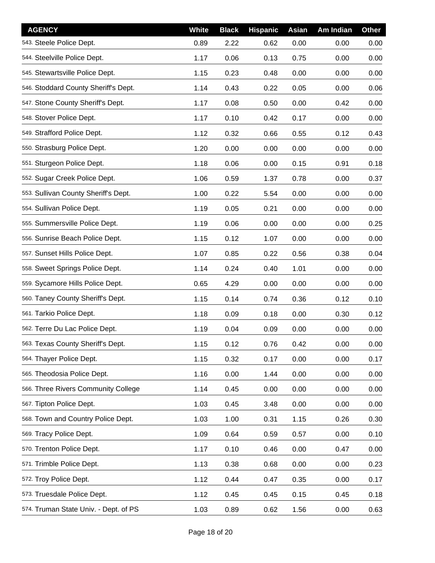| <b>AGENCY</b>                         | White | <b>Black</b> | <b>Hispanic</b> | Asian | Am Indian | <b>Other</b> |
|---------------------------------------|-------|--------------|-----------------|-------|-----------|--------------|
| 543. Steele Police Dept.              | 0.89  | 2.22         | 0.62            | 0.00  | 0.00      | 0.00         |
| 544. Steelville Police Dept.          | 1.17  | 0.06         | 0.13            | 0.75  | 0.00      | 0.00         |
| 545. Stewartsville Police Dept.       | 1.15  | 0.23         | 0.48            | 0.00  | 0.00      | 0.00         |
| 546. Stoddard County Sheriff's Dept.  | 1.14  | 0.43         | 0.22            | 0.05  | 0.00      | 0.06         |
| 547. Stone County Sheriff's Dept.     | 1.17  | 0.08         | 0.50            | 0.00  | 0.42      | 0.00         |
| 548. Stover Police Dept.              | 1.17  | 0.10         | 0.42            | 0.17  | 0.00      | 0.00         |
| 549. Strafford Police Dept.           | 1.12  | 0.32         | 0.66            | 0.55  | 0.12      | 0.43         |
| 550. Strasburg Police Dept.           | 1.20  | 0.00         | 0.00            | 0.00  | 0.00      | 0.00         |
| 551. Sturgeon Police Dept.            | 1.18  | 0.06         | 0.00            | 0.15  | 0.91      | 0.18         |
| 552. Sugar Creek Police Dept.         | 1.06  | 0.59         | 1.37            | 0.78  | 0.00      | 0.37         |
| 553. Sullivan County Sheriff's Dept.  | 1.00  | 0.22         | 5.54            | 0.00  | 0.00      | 0.00         |
| 554. Sullivan Police Dept.            | 1.19  | 0.05         | 0.21            | 0.00  | 0.00      | 0.00         |
| 555. Summersville Police Dept.        | 1.19  | 0.06         | 0.00            | 0.00  | 0.00      | 0.25         |
| 556. Sunrise Beach Police Dept.       | 1.15  | 0.12         | 1.07            | 0.00  | 0.00      | 0.00         |
| 557. Sunset Hills Police Dept.        | 1.07  | 0.85         | 0.22            | 0.56  | 0.38      | 0.04         |
| 558. Sweet Springs Police Dept.       | 1.14  | 0.24         | 0.40            | 1.01  | 0.00      | 0.00         |
| 559. Sycamore Hills Police Dept.      | 0.65  | 4.29         | 0.00            | 0.00  | 0.00      | 0.00         |
| 560. Taney County Sheriff's Dept.     | 1.15  | 0.14         | 0.74            | 0.36  | 0.12      | 0.10         |
| 561. Tarkio Police Dept.              | 1.18  | 0.09         | 0.18            | 0.00  | 0.30      | 0.12         |
| 562. Terre Du Lac Police Dept.        | 1.19  | 0.04         | 0.09            | 0.00  | 0.00      | 0.00         |
| 563. Texas County Sheriff's Dept.     | 1.15  | 0.12         | 0.76            | 0.42  | 0.00      | 0.00         |
| 564. Thayer Police Dept.              | 1.15  | 0.32         | 0.17            | 0.00  | 0.00      | 0.17         |
| 565. Theodosia Police Dept.           | 1.16  | 0.00         | 1.44            | 0.00  | 0.00      | 0.00         |
| 566. Three Rivers Community College   | 1.14  | 0.45         | 0.00            | 0.00  | 0.00      | 0.00         |
| 567. Tipton Police Dept.              | 1.03  | 0.45         | 3.48            | 0.00  | 0.00      | 0.00         |
| 568. Town and Country Police Dept.    | 1.03  | 1.00         | 0.31            | 1.15  | 0.26      | 0.30         |
| 569. Tracy Police Dept.               | 1.09  | 0.64         | 0.59            | 0.57  | 0.00      | 0.10         |
| 570. Trenton Police Dept.             | 1.17  | 0.10         | 0.46            | 0.00  | 0.47      | 0.00         |
| 571. Trimble Police Dept.             | 1.13  | 0.38         | 0.68            | 0.00  | 0.00      | 0.23         |
| 572. Troy Police Dept.                | 1.12  | 0.44         | 0.47            | 0.35  | 0.00      | 0.17         |
| 573. Truesdale Police Dept.           | 1.12  | 0.45         | 0.45            | 0.15  | 0.45      | 0.18         |
| 574. Truman State Univ. - Dept. of PS | 1.03  | 0.89         | 0.62            | 1.56  | 0.00      | 0.63         |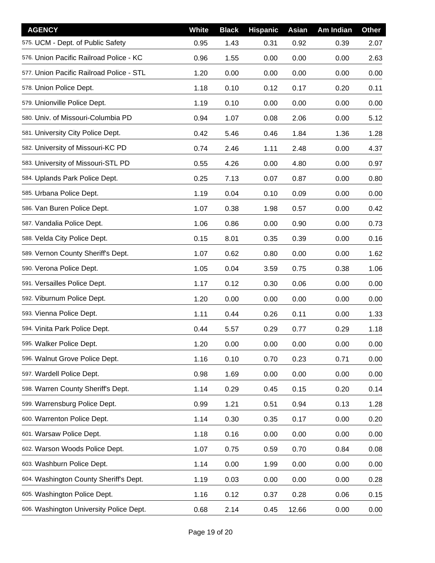| <b>AGENCY</b>                            | White | <b>Black</b> | <b>Hispanic</b> | Asian | Am Indian | <b>Other</b> |
|------------------------------------------|-------|--------------|-----------------|-------|-----------|--------------|
| 575. UCM - Dept. of Public Safety        | 0.95  | 1.43         | 0.31            | 0.92  | 0.39      | 2.07         |
| 576. Union Pacific Railroad Police - KC  | 0.96  | 1.55         | 0.00            | 0.00  | 0.00      | 2.63         |
| 577. Union Pacific Railroad Police - STL | 1.20  | 0.00         | 0.00            | 0.00  | 0.00      | 0.00         |
| 578. Union Police Dept.                  | 1.18  | 0.10         | 0.12            | 0.17  | 0.20      | 0.11         |
| 579. Unionville Police Dept.             | 1.19  | 0.10         | 0.00            | 0.00  | 0.00      | 0.00         |
| 580. Univ. of Missouri-Columbia PD       | 0.94  | 1.07         | 0.08            | 2.06  | 0.00      | 5.12         |
| 581. University City Police Dept.        | 0.42  | 5.46         | 0.46            | 1.84  | 1.36      | 1.28         |
| 582. University of Missouri-KC PD        | 0.74  | 2.46         | 1.11            | 2.48  | 0.00      | 4.37         |
| 583. University of Missouri-STL PD       | 0.55  | 4.26         | 0.00            | 4.80  | 0.00      | 0.97         |
| 584. Uplands Park Police Dept.           | 0.25  | 7.13         | 0.07            | 0.87  | 0.00      | 0.80         |
| 585. Urbana Police Dept.                 | 1.19  | 0.04         | 0.10            | 0.09  | 0.00      | 0.00         |
| 586. Van Buren Police Dept.              | 1.07  | 0.38         | 1.98            | 0.57  | 0.00      | 0.42         |
| 587. Vandalia Police Dept.               | 1.06  | 0.86         | 0.00            | 0.90  | 0.00      | 0.73         |
| 588. Velda City Police Dept.             | 0.15  | 8.01         | 0.35            | 0.39  | 0.00      | 0.16         |
| 589. Vernon County Sheriff's Dept.       | 1.07  | 0.62         | 0.80            | 0.00  | 0.00      | 1.62         |
| 590. Verona Police Dept.                 | 1.05  | 0.04         | 3.59            | 0.75  | 0.38      | 1.06         |
| 591. Versailles Police Dept.             | 1.17  | 0.12         | 0.30            | 0.06  | 0.00      | 0.00         |
| 592. Viburnum Police Dept.               | 1.20  | 0.00         | 0.00            | 0.00  | 0.00      | 0.00         |
| 593. Vienna Police Dept.                 | 1.11  | 0.44         | 0.26            | 0.11  | 0.00      | 1.33         |
| 594. Vinita Park Police Dept.            | 0.44  | 5.57         | 0.29            | 0.77  | 0.29      | 1.18         |
| 595. Walker Police Dept.                 | 1.20  | 0.00         | 0.00            | 0.00  | 0.00      | 0.00         |
| 596. Walnut Grove Police Dept.           | 1.16  | 0.10         | 0.70            | 0.23  | 0.71      | 0.00         |
| 597. Wardell Police Dept.                | 0.98  | 1.69         | 0.00            | 0.00  | 0.00      | 0.00         |
| 598. Warren County Sheriff's Dept.       | 1.14  | 0.29         | 0.45            | 0.15  | 0.20      | 0.14         |
| 599. Warrensburg Police Dept.            | 0.99  | 1.21         | 0.51            | 0.94  | 0.13      | 1.28         |
| 600. Warrenton Police Dept.              | 1.14  | 0.30         | 0.35            | 0.17  | 0.00      | 0.20         |
| 601. Warsaw Police Dept.                 | 1.18  | 0.16         | 0.00            | 0.00  | 0.00      | 0.00         |
| 602. Warson Woods Police Dept.           | 1.07  | 0.75         | 0.59            | 0.70  | 0.84      | 0.08         |
| 603. Washburn Police Dept.               | 1.14  | 0.00         | 1.99            | 0.00  | 0.00      | 0.00         |
| 604. Washington County Sheriff's Dept.   | 1.19  | 0.03         | 0.00            | 0.00  | 0.00      | 0.28         |
| 605. Washington Police Dept.             | 1.16  | 0.12         | 0.37            | 0.28  | 0.06      | 0.15         |
| 606. Washington University Police Dept.  | 0.68  | 2.14         | 0.45            | 12.66 | 0.00      | 0.00         |